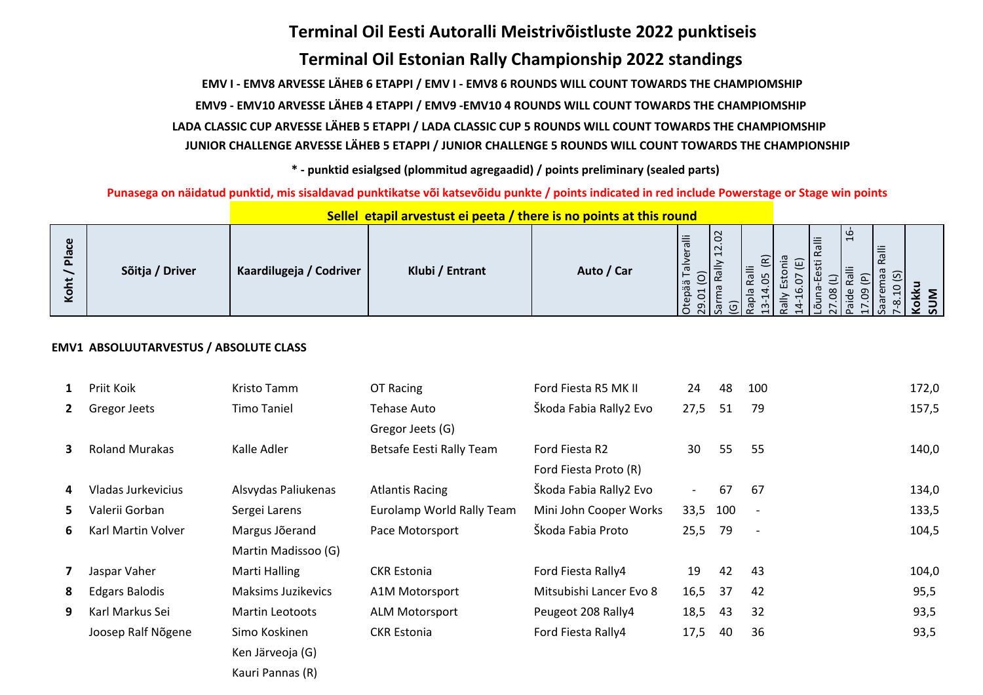# **Terminal Oil Eesti Autoralli Meistrivõistluste 2022 punktiseis Terminal Oil Estonian Rally Championship 2022 standings**

 **EMV I - EMV8 ARVESSE LÄHEB 6 ETAPPI / EMV I - EMV8 6 ROUNDS WILL COUNT TOWARDS THE CHAMPIOMSHIP**

 **EMV9 - EMV10 ARVESSE LÄHEB 4 ETAPPI / EMV9 -EMV10 4 ROUNDS WILL COUNT TOWARDS THE CHAMPIOMSHIP**

 **LADA CLASSIC CUP ARVESSE LÄHEB 5 ETAPPI / LADA CLASSIC CUP 5 ROUNDS WILL COUNT TOWARDS THE CHAMPIOMSHIP**

 **JUNIOR CHALLENGE ARVESSE LÄHEB 5 ETAPPI / JUNIOR CHALLENGE 5 ROUNDS WILL COUNT TOWARDS THE CHAMPIONSHIP**

 **\* - punktid esialgsed (plommitud agregaadid) / points preliminary (sealed parts)**

 **Punasega on näidatud punktid, mis sisaldavad punktikatse või katsevõidu punkte / points indicated in red include Powerstage or Stage win points**

| Φ<br>൹<br>$\overline{\mathtt{a}}$<br>يە<br>⊻ | Sõitja / Driver | Kaardilugeja / Codriver | Klubi / Entrant | Auto / Car | $\overline{0}$<br>≔<br>$\sigma$<br>$\overline{12}$<br>$\omega$<br>$\sigma$<br>$\widehat{\phantom{1}}$<br>ä<br>öä<br>$\mathbf \omega$<br>$\mathbb{S}$<br>$\circ$ | ଢ<br>ပ | Ralli | <u>uc</u><br>$\overline{\phantom{a}}$<br>Ralli<br>កូ ភ<br>æ<br>⊣<br>S | $\infty$<br>ទី ខ្ |  |
|----------------------------------------------|-----------------|-------------------------|-----------------|------------|-----------------------------------------------------------------------------------------------------------------------------------------------------------------|--------|-------|-----------------------------------------------------------------------|-------------------|--|

## **Sellel etapil arvestust ei peeta / there is no points at this round**

## **EMV1 ABSOLUUTARVESTUS / ABSOLUTE CLASS**

| $\mathbf{1}$             | Priit Koik            | Kristo Tamm               | OT Racing                 | Ford Fiesta R5 MK II    | 24                       | 48  | 100                      | 172,0 |
|--------------------------|-----------------------|---------------------------|---------------------------|-------------------------|--------------------------|-----|--------------------------|-------|
| $\mathbf{2}$             | Gregor Jeets          | <b>Timo Taniel</b>        | Tehase Auto               | Škoda Fabia Rally2 Evo  | 27,5                     | 51  | 79                       | 157,5 |
|                          |                       |                           | Gregor Jeets (G)          |                         |                          |     |                          |       |
| 3.                       | <b>Roland Murakas</b> | Kalle Adler               | Betsafe Eesti Rally Team  | Ford Fiesta R2          | 30                       | 55  | 55                       | 140,0 |
|                          |                       |                           |                           | Ford Fiesta Proto (R)   |                          |     |                          |       |
| 4                        | Vladas Jurkevicius    | Alsvydas Paliukenas       | <b>Atlantis Racing</b>    | Škoda Fabia Rally2 Evo  | $\overline{\phantom{0}}$ | 67  | -67                      | 134,0 |
| 5.                       | Valerii Gorban        | Sergei Larens             | Eurolamp World Rally Team | Mini John Cooper Works  | 33,5                     | 100 |                          | 133,5 |
| 6.                       | Karl Martin Volver    | Margus Jõerand            | Pace Motorsport           | Škoda Fabia Proto       | 25,5                     | 79  | $\overline{\phantom{a}}$ | 104,5 |
|                          |                       | Martin Madissoo (G)       |                           |                         |                          |     |                          |       |
| $\overline{\phantom{a}}$ | Jaspar Vaher          | Marti Halling             | <b>CKR Estonia</b>        | Ford Fiesta Rally4      | 19                       | 42  | 43                       | 104,0 |
| 8                        | <b>Edgars Balodis</b> | <b>Maksims Juzikevics</b> | A1M Motorsport            | Mitsubishi Lancer Evo 8 | 16,5                     | 37  | 42                       | 95,5  |
| 9                        | Karl Markus Sei       | Martin Leotoots           | <b>ALM Motorsport</b>     | Peugeot 208 Rally4      | 18,5                     | 43  | 32                       | 93,5  |
|                          | Joosep Ralf Nõgene    | Simo Koskinen             | <b>CKR Estonia</b>        | Ford Fiesta Rally4      | 17,5                     | 40  | 36                       | 93,5  |
|                          |                       | Ken Järveoja (G)          |                           |                         |                          |     |                          |       |
|                          |                       | Kauri Pannas (R)          |                           |                         |                          |     |                          |       |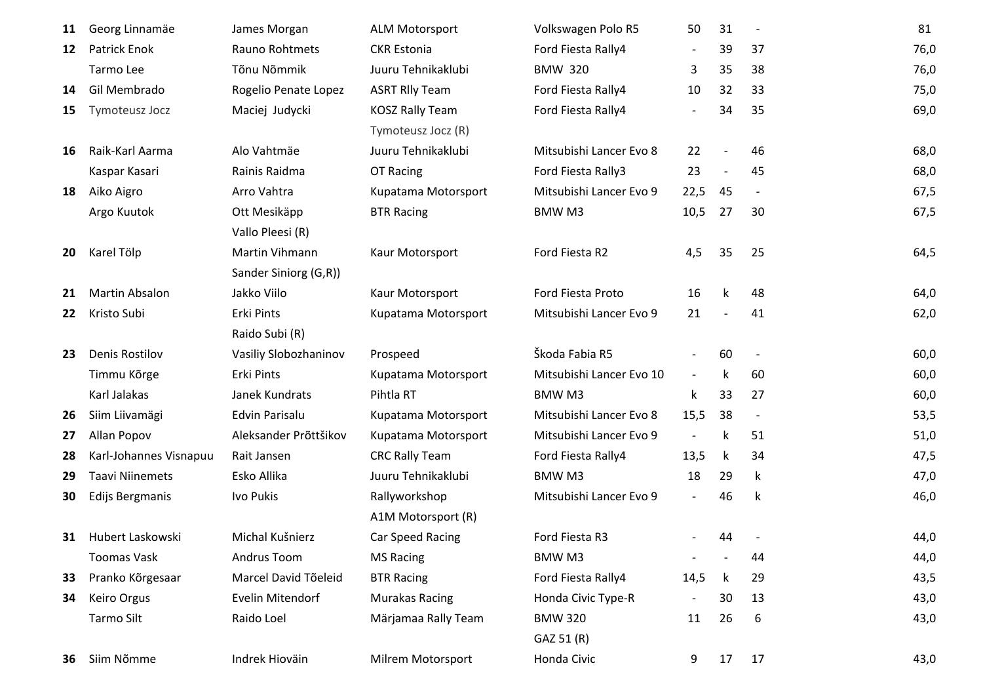| 11 | Georg Linnamäe         | James Morgan          | <b>ALM Motorsport</b>  | Volkswagen Polo R5       | 50                       | 31 | $\overline{\phantom{a}}$ | 81   |
|----|------------------------|-----------------------|------------------------|--------------------------|--------------------------|----|--------------------------|------|
| 12 | <b>Patrick Enok</b>    | Rauno Rohtmets        | <b>CKR Estonia</b>     | Ford Fiesta Rally4       |                          | 39 | 37                       | 76,0 |
|    | Tarmo Lee              | Tõnu Nõmmik           | Juuru Tehnikaklubi     | <b>BMW 320</b>           | 3                        | 35 | 38                       | 76,0 |
| 14 | Gil Membrado           | Rogelio Penate Lopez  | <b>ASRT RIly Team</b>  | Ford Fiesta Rally4       | 10                       | 32 | 33                       | 75,0 |
| 15 | Tymoteusz Jocz         | Maciej Judycki        | <b>KOSZ Rally Team</b> | Ford Fiesta Rally4       | $\overline{\phantom{a}}$ | 34 | 35                       | 69,0 |
|    |                        |                       | Tymoteusz Jocz (R)     |                          |                          |    |                          |      |
| 16 | Raik-Karl Aarma        | Alo Vahtmäe           | Juuru Tehnikaklubi     | Mitsubishi Lancer Evo 8  | 22                       |    | 46                       | 68,0 |
|    | Kaspar Kasari          | Rainis Raidma         | OT Racing              | Ford Fiesta Rally3       | 23                       |    | 45                       | 68,0 |
| 18 | Aiko Aigro             | Arro Vahtra           | Kupatama Motorsport    | Mitsubishi Lancer Evo 9  | 22,5                     | 45 | $\overline{\phantom{a}}$ | 67,5 |
|    | Argo Kuutok            | Ott Mesikäpp          | <b>BTR Racing</b>      | BMW M3                   | 10,5                     | 27 | 30                       | 67,5 |
|    |                        | Vallo Pleesi (R)      |                        |                          |                          |    |                          |      |
| 20 | Karel Tölp             | Martin Vihmann        | Kaur Motorsport        | Ford Fiesta R2           | 4,5                      | 35 | 25                       | 64,5 |
|    |                        | Sander Siniorg (G,R)) |                        |                          |                          |    |                          |      |
| 21 | <b>Martin Absalon</b>  | Jakko Viilo           | Kaur Motorsport        | Ford Fiesta Proto        | 16                       | k  | 48                       | 64,0 |
| 22 | Kristo Subi            | Erki Pints            | Kupatama Motorsport    | Mitsubishi Lancer Evo 9  | 21                       |    | 41                       | 62,0 |
|    |                        | Raido Subi (R)        |                        |                          |                          |    |                          |      |
| 23 | <b>Denis Rostilov</b>  | Vasiliy Slobozhaninov | Prospeed               | Škoda Fabia R5           |                          | 60 |                          | 60,0 |
|    | Timmu Kõrge            | Erki Pints            | Kupatama Motorsport    | Mitsubishi Lancer Evo 10 | $\overline{\phantom{a}}$ | k  | 60                       | 60,0 |
|    | Karl Jalakas           | Janek Kundrats        | Pihtla RT              | BMW M3                   | k                        | 33 | 27                       | 60,0 |
| 26 | Siim Liivamägi         | Edvin Parisalu        | Kupatama Motorsport    | Mitsubishi Lancer Evo 8  | 15,5                     | 38 | $\overline{\phantom{a}}$ | 53,5 |
| 27 | Allan Popov            | Aleksander Prõttšikov | Kupatama Motorsport    | Mitsubishi Lancer Evo 9  | $\overline{\phantom{a}}$ | k  | 51                       | 51,0 |
| 28 | Karl-Johannes Visnapuu | Rait Jansen           | <b>CRC Rally Team</b>  | Ford Fiesta Rally4       | 13,5                     | k  | 34                       | 47,5 |
| 29 | <b>Taavi Niinemets</b> | Esko Allika           | Juuru Tehnikaklubi     | BMW M3                   | 18                       | 29 | k                        | 47,0 |
| 30 | Edijs Bergmanis        | Ivo Pukis             | Rallyworkshop          | Mitsubishi Lancer Evo 9  | $\overline{\phantom{a}}$ | 46 | k                        | 46,0 |
|    |                        |                       | A1M Motorsport (R)     |                          |                          |    |                          |      |
| 31 | Hubert Laskowski       | Michal Kušnierz       | Car Speed Racing       | Ford Fiesta R3           |                          | 44 |                          | 44,0 |
|    | <b>Toomas Vask</b>     | Andrus Toom           | <b>MS Racing</b>       | BMW M3                   | $\overline{\phantom{a}}$ |    | 44                       | 44,0 |
| 33 | Pranko Kõrgesaar       | Marcel David Tõeleid  | <b>BTR Racing</b>      | Ford Fiesta Rally4       | 14,5                     | k  | 29                       | 43,5 |
| 34 | <b>Keiro Orgus</b>     | Evelin Mitendorf      | <b>Murakas Racing</b>  | Honda Civic Type-R       | $\blacksquare$           | 30 | 13                       | 43,0 |
|    | Tarmo Silt             | Raido Loel            | Märjamaa Rally Team    | <b>BMW 320</b>           | 11                       | 26 | 6                        | 43,0 |
|    |                        |                       |                        | GAZ 51 (R)               |                          |    |                          |      |
| 36 | Siim Nõmme             | Indrek Hioväin        | Milrem Motorsport      | Honda Civic              | 9                        | 17 | 17                       | 43,0 |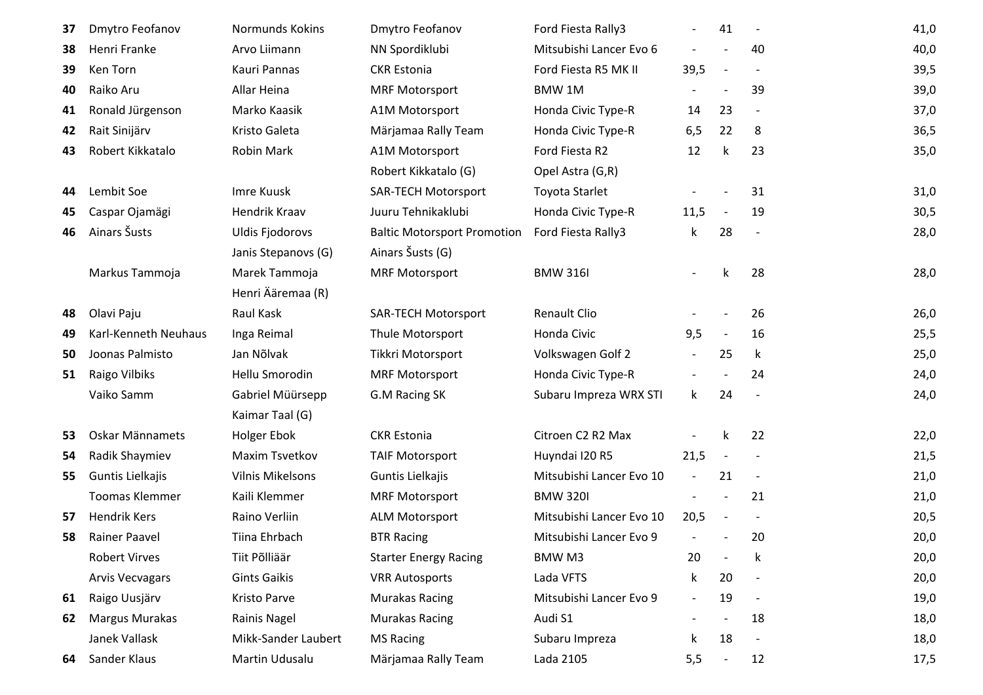| 37 | Dmytro Feofanov        | Normunds Kokins        | Dmytro Feofanov                    | Ford Fiesta Rally3       |                          | 41                       | $\overline{\phantom{a}}$ | 41,0 |
|----|------------------------|------------------------|------------------------------------|--------------------------|--------------------------|--------------------------|--------------------------|------|
| 38 | Henri Franke           | Arvo Liimann           | NN Spordiklubi                     | Mitsubishi Lancer Evo 6  |                          |                          | 40                       | 40,0 |
| 39 | Ken Torn               | Kauri Pannas           | <b>CKR Estonia</b>                 | Ford Fiesta R5 MK II     | 39,5                     | $\overline{\phantom{a}}$ |                          | 39,5 |
| 40 | Raiko Aru              | Allar Heina            | <b>MRF Motorsport</b>              | BMW 1M                   |                          |                          | 39                       | 39,0 |
| 41 | Ronald Jürgenson       | Marko Kaasik           | A1M Motorsport                     | Honda Civic Type-R       | 14                       | 23                       |                          | 37,0 |
| 42 | Rait Sinijärv          | Kristo Galeta          | Märjamaa Rally Team                | Honda Civic Type-R       | 6,5                      | 22                       | 8                        | 36,5 |
| 43 | Robert Kikkatalo       | <b>Robin Mark</b>      | A1M Motorsport                     | Ford Fiesta R2           | 12                       | k                        | 23                       | 35,0 |
|    |                        |                        | Robert Kikkatalo (G)               | Opel Astra (G,R)         |                          |                          |                          |      |
| 44 | Lembit Soe             | Imre Kuusk             | <b>SAR-TECH Motorsport</b>         | <b>Toyota Starlet</b>    |                          |                          | 31                       | 31,0 |
| 45 | Caspar Ojamägi         | Hendrik Kraav          | Juuru Tehnikaklubi                 | Honda Civic Type-R       | 11,5                     | $\overline{\phantom{a}}$ | 19                       | 30,5 |
| 46 | Ainars Šusts           | <b>Uldis Fjodorovs</b> | <b>Baltic Motorsport Promotion</b> | Ford Fiesta Rally3       | $\mathsf k$              | 28                       | $\overline{\phantom{a}}$ | 28,0 |
|    |                        | Janis Stepanovs (G)    | Ainars Šusts (G)                   |                          |                          |                          |                          |      |
|    | Markus Tammoja         | Marek Tammoja          | <b>MRF Motorsport</b>              | <b>BMW 316I</b>          |                          | k                        | 28                       | 28,0 |
|    |                        | Henri Ääremaa (R)      |                                    |                          |                          |                          |                          |      |
| 48 | Olavi Paju             | Raul Kask              | <b>SAR-TECH Motorsport</b>         | <b>Renault Clio</b>      |                          |                          | 26                       | 26,0 |
| 49 | Karl-Kenneth Neuhaus   | Inga Reimal            | Thule Motorsport                   | Honda Civic              | 9,5                      | $\overline{\phantom{a}}$ | 16                       | 25,5 |
| 50 | Joonas Palmisto        | Jan Nõlvak             | Tikkri Motorsport                  | Volkswagen Golf 2        | $\overline{\phantom{a}}$ | 25                       | k                        | 25,0 |
| 51 | Raigo Vilbiks          | Hellu Smorodin         | <b>MRF Motorsport</b>              | Honda Civic Type-R       | $\sim$                   |                          | 24                       | 24,0 |
|    | Vaiko Samm             | Gabriel Müürsepp       | G.M Racing SK                      | Subaru Impreza WRX STI   | $\mathsf{k}$             | 24                       |                          | 24,0 |
|    |                        | Kaimar Taal (G)        |                                    |                          |                          |                          |                          |      |
| 53 | Oskar Männamets        | <b>Holger Ebok</b>     | <b>CKR Estonia</b>                 | Citroen C2 R2 Max        |                          | k                        | 22                       | 22,0 |
| 54 | Radik Shaymiev         | Maxim Tsvetkov         | <b>TAIF Motorsport</b>             | Huyndai I20 R5           | 21,5                     | $\overline{\phantom{a}}$ |                          | 21,5 |
| 55 | Guntis Lielkajis       | Vilnis Mikelsons       | Guntis Lielkajis                   | Mitsubishi Lancer Evo 10 | $\overline{\phantom{a}}$ | 21                       | $\overline{\phantom{a}}$ | 21,0 |
|    | <b>Toomas Klemmer</b>  | Kaili Klemmer          | <b>MRF Motorsport</b>              | <b>BMW 320I</b>          |                          |                          | 21                       | 21,0 |
| 57 | <b>Hendrik Kers</b>    | Raino Verliin          | <b>ALM Motorsport</b>              | Mitsubishi Lancer Evo 10 | 20,5                     |                          |                          | 20,5 |
| 58 | <b>Rainer Paavel</b>   | Tiina Ehrbach          | <b>BTR Racing</b>                  | Mitsubishi Lancer Evo 9  |                          |                          | 20                       | 20,0 |
|    | <b>Robert Virves</b>   | Tiit Põlliäär          | <b>Starter Energy Racing</b>       | BMW M3                   | 20                       |                          | k                        | 20,0 |
|    | <b>Arvis Vecvagars</b> | <b>Gints Gaikis</b>    | <b>VRR Autosports</b>              | Lada VFTS                | $\mathsf k$              | 20                       |                          | 20,0 |
| 61 | Raigo Uusjärv          | Kristo Parve           | <b>Murakas Racing</b>              | Mitsubishi Lancer Evo 9  | $\blacksquare$           | 19                       |                          | 19,0 |
| 62 | <b>Margus Murakas</b>  | Rainis Nagel           | <b>Murakas Racing</b>              | Audi S1                  | $ \,$                    |                          | 18                       | 18,0 |
|    | Janek Vallask          | Mikk-Sander Laubert    | <b>MS Racing</b>                   | Subaru Impreza           | k                        | 18                       |                          | 18,0 |
| 64 | Sander Klaus           | Martin Udusalu         | Märjamaa Rally Team                | Lada 2105                | 5,5                      | $\overline{\phantom{a}}$ | 12                       | 17,5 |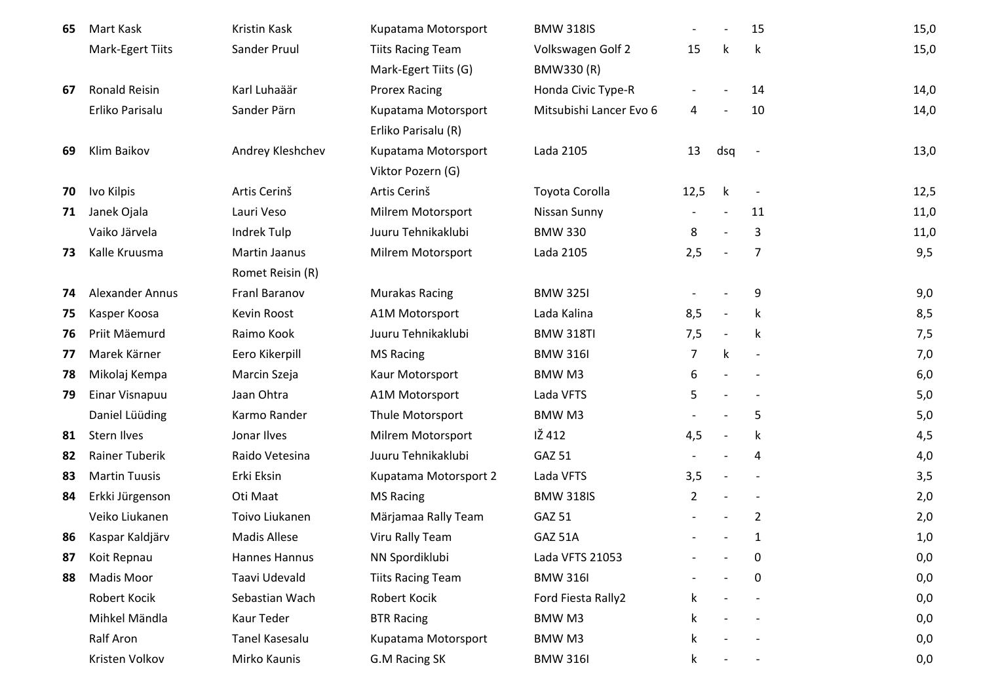| 65 | Mart Kask             | Kristin Kask          | Kupatama Motorsport      | <b>BMW 318IS</b>        |                |                          | 15                       | 15,0 |
|----|-----------------------|-----------------------|--------------------------|-------------------------|----------------|--------------------------|--------------------------|------|
|    | Mark-Egert Tiits      | Sander Pruul          | <b>Tiits Racing Team</b> | Volkswagen Golf 2       | 15             | k                        | $\mathsf k$              | 15,0 |
|    |                       |                       | Mark-Egert Tiits (G)     | BMW330 (R)              |                |                          |                          |      |
| 67 | <b>Ronald Reisin</b>  | Karl Luhaäär          | <b>Prorex Racing</b>     | Honda Civic Type-R      |                |                          | 14                       | 14,0 |
|    | Erliko Parisalu       | Sander Pärn           | Kupatama Motorsport      | Mitsubishi Lancer Evo 6 | 4              |                          | 10                       | 14,0 |
|    |                       |                       | Erliko Parisalu (R)      |                         |                |                          |                          |      |
| 69 | Klim Baikov           | Andrey Kleshchev      | Kupatama Motorsport      | Lada 2105               | 13             | dsq                      |                          | 13,0 |
|    |                       |                       | Viktor Pozern (G)        |                         |                |                          |                          |      |
| 70 | Ivo Kilpis            | Artis Cerinš          | Artis Cerinš             | Toyota Corolla          | 12,5           | k                        | $\overline{\phantom{a}}$ | 12,5 |
| 71 | Janek Ojala           | Lauri Veso            | Milrem Motorsport        | Nissan Sunny            |                |                          | 11                       | 11,0 |
|    | Vaiko Järvela         | Indrek Tulp           | Juuru Tehnikaklubi       | <b>BMW 330</b>          | 8              |                          | 3                        | 11,0 |
| 73 | Kalle Kruusma         | Martin Jaanus         | Milrem Motorsport        | Lada 2105               | 2,5            | $\overline{\phantom{a}}$ | 7                        | 9,5  |
|    |                       | Romet Reisin (R)      |                          |                         |                |                          |                          |      |
| 74 | Alexander Annus       | Franl Baranov         | <b>Murakas Racing</b>    | <b>BMW 325I</b>         |                |                          | 9                        | 9,0  |
| 75 | Kasper Koosa          | Kevin Roost           | A1M Motorsport           | Lada Kalina             | 8,5            | $\overline{\phantom{a}}$ | k                        | 8,5  |
| 76 | Priit Mäemurd         | Raimo Kook            | Juuru Tehnikaklubi       | <b>BMW 318TI</b>        | 7,5            | $\overline{\phantom{a}}$ | k                        | 7,5  |
| 77 | Marek Kärner          | Eero Kikerpill        | <b>MS Racing</b>         | <b>BMW 316I</b>         | 7              | $\mathsf k$              |                          | 7,0  |
| 78 | Mikolaj Kempa         | Marcin Szeja          | Kaur Motorsport          | BMW M3                  | 6              |                          |                          | 6,0  |
| 79 | Einar Visnapuu        | Jaan Ohtra            | A1M Motorsport           | Lada VFTS               | 5              |                          |                          | 5,0  |
|    | Daniel Lüüding        | Karmo Rander          | Thule Motorsport         | BMW M3                  |                |                          | 5                        | 5,0  |
| 81 | <b>Stern Ilves</b>    | Jonar Ilves           | Milrem Motorsport        | IŽ 412                  | 4,5            |                          | $\mathsf k$              | 4,5  |
| 82 | <b>Rainer Tuberik</b> | Raido Vetesina        | Juuru Tehnikaklubi       | GAZ 51                  |                |                          | 4                        | 4,0  |
| 83 | <b>Martin Tuusis</b>  | Erki Eksin            | Kupatama Motorsport 2    | Lada VFTS               | 3,5            |                          |                          | 3,5  |
| 84 | Erkki Jürgenson       | Oti Maat              | <b>MS Racing</b>         | <b>BMW 318IS</b>        | $\overline{2}$ |                          |                          | 2,0  |
|    | Veiko Liukanen        | Toivo Liukanen        | Märjamaa Rally Team      | GAZ 51                  |                |                          | $\overline{2}$           | 2,0  |
| 86 | Kaspar Kaldjärv       | <b>Madis Allese</b>   | Viru Rally Team          | GAZ 51A                 |                |                          | $\mathbf{1}$             | 1,0  |
| 87 | Koit Repnau           | Hannes Hannus         | NN Spordiklubi           | Lada VFTS 21053         |                |                          | 0                        | 0,0  |
| 88 | Madis Moor            | Taavi Udevald         | <b>Tiits Racing Team</b> | <b>BMW 316I</b>         |                |                          | 0                        | 0,0  |
|    | Robert Kocik          | Sebastian Wach        | Robert Kocik             | Ford Fiesta Rally2      | k.             |                          |                          | 0,0  |
|    | Mihkel Mändla         | Kaur Teder            | <b>BTR Racing</b>        | BMW M3                  | k.             |                          |                          | 0,0  |
|    | <b>Ralf Aron</b>      | <b>Tanel Kasesalu</b> | Kupatama Motorsport      | BMW M3                  | ĸ.             |                          |                          | 0,0  |
|    | Kristen Volkov        | Mirko Kaunis          | G.M Racing SK            | <b>BMW 316I</b>         | k              |                          |                          | 0,0  |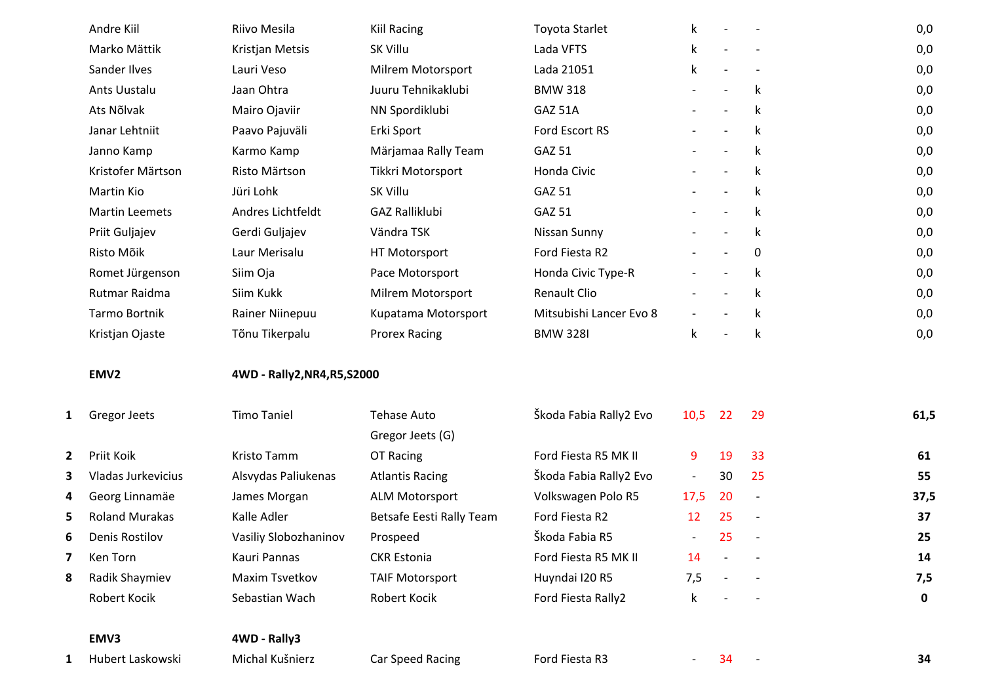|              | Andre Kiil            | Riivo Mesila                 | <b>Kiil Racing</b>                     | <b>Toyota Starlet</b>   | k.                       |                          |                          | 0,0         |
|--------------|-----------------------|------------------------------|----------------------------------------|-------------------------|--------------------------|--------------------------|--------------------------|-------------|
|              | Marko Mättik          | Kristjan Metsis              | SK Villu                               | Lada VFTS               | $\mathsf k$              |                          |                          | 0,0         |
|              | Sander Ilves          | Lauri Veso                   | Milrem Motorsport                      | Lada 21051              | $\mathsf k$              |                          |                          | 0,0         |
|              | Ants Uustalu          | Jaan Ohtra                   | Juuru Tehnikaklubi                     | <b>BMW 318</b>          |                          |                          | k                        | 0,0         |
|              | Ats Nõlvak            | Mairo Ojaviir                | NN Spordiklubi                         | GAZ 51A                 |                          |                          | k                        | 0,0         |
|              | Janar Lehtniit        | Paavo Pajuväli               | Erki Sport                             | Ford Escort RS          |                          |                          | k                        | 0,0         |
|              | Janno Kamp            | Karmo Kamp                   | Märjamaa Rally Team                    | GAZ 51                  |                          |                          | k                        | 0,0         |
|              | Kristofer Märtson     | Risto Märtson                | Tikkri Motorsport                      | Honda Civic             |                          |                          | k                        | 0,0         |
|              | Martin Kio            | Jüri Lohk                    | SK Villu                               | <b>GAZ 51</b>           |                          | $\blacksquare$           | k                        | 0,0         |
|              | <b>Martin Leemets</b> | Andres Lichtfeldt            | <b>GAZ Ralliklubi</b>                  | <b>GAZ 51</b>           |                          |                          | k                        | 0,0         |
|              | Priit Guljajev        | Gerdi Guljajev               | Vändra TSK                             | Nissan Sunny            |                          | $\overline{\phantom{a}}$ | k                        | 0,0         |
|              | Risto Mõik            | Laur Merisalu                | HT Motorsport                          | Ford Fiesta R2          |                          |                          | 0                        | 0,0         |
|              | Romet Jürgenson       | Siim Oja                     | Pace Motorsport                        | Honda Civic Type-R      |                          |                          | k                        | 0,0         |
|              | Rutmar Raidma         | Siim Kukk                    | Milrem Motorsport                      | <b>Renault Clio</b>     |                          |                          | k                        | 0,0         |
|              | <b>Tarmo Bortnik</b>  | Rainer Niinepuu              | Kupatama Motorsport                    | Mitsubishi Lancer Evo 8 |                          |                          | k                        | 0,0         |
|              | Kristjan Ojaste       | Tõnu Tikerpalu               | <b>Prorex Racing</b>                   | <b>BMW 328I</b>         | $\mathsf k$              |                          | k                        | 0,0         |
|              |                       |                              |                                        |                         |                          |                          |                          |             |
|              | EMV <sub>2</sub>      | 4WD - Rally2, NR4, R5, S2000 |                                        |                         |                          |                          |                          |             |
| 1            | <b>Gregor Jeets</b>   | <b>Timo Taniel</b>           | <b>Tehase Auto</b><br>Gregor Jeets (G) | Škoda Fabia Rally2 Evo  | 10,5                     | 22                       | 29                       | 61,5        |
| $\mathbf{2}$ | Priit Koik            | Kristo Tamm                  | OT Racing                              | Ford Fiesta R5 MK II    | 9                        | 19                       | 33                       | 61          |
| 3            | Vladas Jurkevicius    | Alsvydas Paliukenas          | <b>Atlantis Racing</b>                 | Škoda Fabia Rally2 Evo  | $\overline{\phantom{a}}$ | 30                       | 25                       | 55          |
| 4            | Georg Linnamäe        | James Morgan                 | <b>ALM Motorsport</b>                  | Volkswagen Polo R5      | 17,5                     | 20                       | $\overline{\phantom{a}}$ | 37,5        |
| 5            | <b>Roland Murakas</b> | Kalle Adler                  | Betsafe Eesti Rally Team               | Ford Fiesta R2          | 12                       | 25                       |                          | 37          |
| 6            | Denis Rostilov        | Vasiliy Slobozhaninov        | Prospeed                               | Škoda Fabia R5          | $\overline{\phantom{a}}$ | 25                       |                          | 25          |
| 7            | Ken Torn              | Kauri Pannas                 | <b>CKR Estonia</b>                     | Ford Fiesta R5 MK II    | 14                       |                          |                          | 14          |
| 8            | Radik Shaymiev        | Maxim Tsvetkov               | <b>TAIF Motorsport</b>                 | Huyndai I20 R5          | 7,5                      |                          |                          | 7,5         |
|              | Robert Kocik          | Sebastian Wach               | Robert Kocik                           | Ford Fiesta Rally2      | k                        |                          |                          | $\mathbf 0$ |
|              | EMV3                  | 4WD - Rally3                 |                                        |                         |                          |                          |                          |             |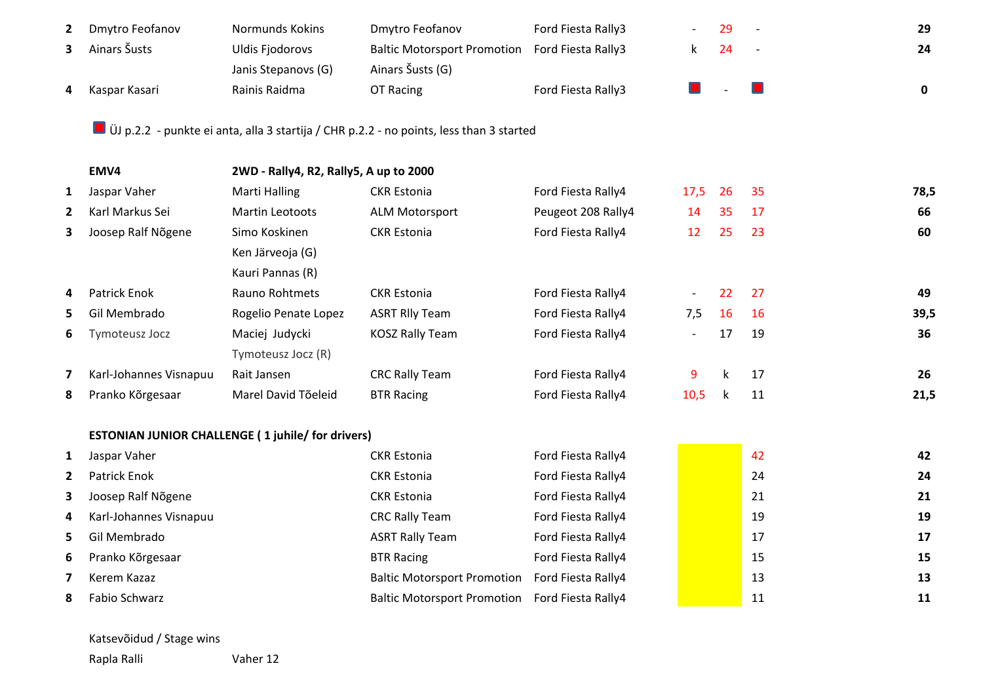| $\mathbf{2}$ | Dmytro Feofanov       | Normunds Kokins     | Dmytro Feofanov                                | Ford Fiesta Rally3 | 29 | 29 |
|--------------|-----------------------|---------------------|------------------------------------------------|--------------------|----|----|
|              | <b>3</b> Ainars Susts | Uldis Fjodorovs     | Baltic Motorsport Promotion Ford Fiesta Rally3 |                    |    | 24 |
|              |                       | Janis Stepanovs (G) | Ainars Šusts (G)                               |                    |    |    |
| 4            | Kaspar Kasari         | Rainis Raidma       | OT Racing                                      | Ford Fiesta Rally3 |    |    |

ÜJ p.2.2 - punkte ei anta, alla 3 startija / CHR p.2.2 - no points, less than 3 started

|              | EMV4                   | 2WD - Rally4, R2, Rally5, A up to 2000                   |                                    |                    |                          |    |    |      |
|--------------|------------------------|----------------------------------------------------------|------------------------------------|--------------------|--------------------------|----|----|------|
| 1            | Jaspar Vaher           | Marti Halling                                            | <b>CKR Estonia</b>                 | Ford Fiesta Rally4 | 17,5                     | 26 | 35 | 78,5 |
| 2            | Karl Markus Sei        | <b>Martin Leotoots</b>                                   | <b>ALM Motorsport</b>              | Peugeot 208 Rally4 | 14                       | 35 | 17 | 66   |
| З.           | Joosep Ralf Nõgene     | Simo Koskinen                                            | <b>CKR Estonia</b>                 | Ford Fiesta Rally4 | 12                       | 25 | 23 | 60   |
|              |                        | Ken Järveoja (G)                                         |                                    |                    |                          |    |    |      |
|              |                        | Kauri Pannas (R)                                         |                                    |                    |                          |    |    |      |
| 4            | Patrick Enok           | Rauno Rohtmets                                           | <b>CKR Estonia</b>                 | Ford Fiesta Rally4 | $\overline{\phantom{a}}$ | 22 | 27 | 49   |
| 5.           | Gil Membrado           | Rogelio Penate Lopez                                     | <b>ASRT RIly Team</b>              | Ford Fiesta Rally4 | 7,5                      | 16 | 16 | 39,5 |
| 6            | Tymoteusz Jocz         | Maciej Judycki                                           | <b>KOSZ Rally Team</b>             | Ford Fiesta Rally4 | $-$                      | 17 | 19 | 36   |
|              |                        | Tymoteusz Jocz (R)                                       |                                    |                    |                          |    |    |      |
| 7            | Karl-Johannes Visnapuu | Rait Jansen                                              | <b>CRC Rally Team</b>              | Ford Fiesta Rally4 | 9                        | k  | 17 | 26   |
| 8            | Pranko Kõrgesaar       | Marel David Tõeleid                                      | <b>BTR Racing</b>                  | Ford Fiesta Rally4 | 10,5                     | k  | 11 | 21,5 |
|              |                        | <b>ESTONIAN JUNIOR CHALLENGE (1 juhile/ for drivers)</b> |                                    |                    |                          |    |    |      |
| 1            | Jaspar Vaher           |                                                          | <b>CKR Estonia</b>                 | Ford Fiesta Rally4 |                          |    | 42 | 42   |
| $\mathbf{2}$ | <b>Patrick Enok</b>    |                                                          | <b>CKR Estonia</b>                 | Ford Fiesta Rally4 |                          |    | 24 | 24   |
| 3            | Joosep Ralf Nõgene     |                                                          | <b>CKR Estonia</b>                 | Ford Fiesta Rally4 |                          |    | 21 | 21   |
| 4            | Karl-Johannes Visnapuu |                                                          | <b>CRC Rally Team</b>              | Ford Fiesta Rally4 |                          |    | 19 | 19   |
| 5.           | Gil Membrado           |                                                          | <b>ASRT Rally Team</b>             | Ford Fiesta Rally4 |                          |    | 17 | 17   |
| 6            | Pranko Kõrgesaar       |                                                          | <b>BTR Racing</b>                  | Ford Fiesta Rally4 |                          |    | 15 | 15   |
| 7            | Kerem Kazaz            |                                                          | <b>Baltic Motorsport Promotion</b> | Ford Fiesta Rally4 |                          |    | 13 | 13   |
| 8            | Fabio Schwarz          |                                                          | <b>Baltic Motorsport Promotion</b> | Ford Fiesta Rally4 |                          |    | 11 | 11   |

Katsevõidud / Stage wins

Rapla Ralli Vaher 12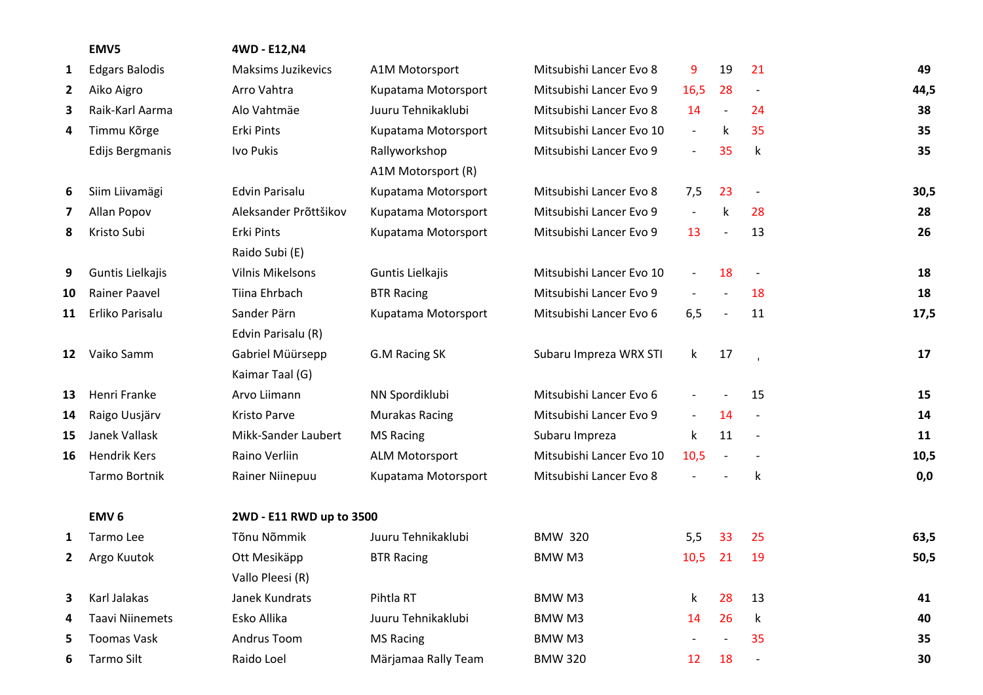|              | EMV5                   | 4WD - E12, N4             |                       |                          |                          |                          |                          |      |
|--------------|------------------------|---------------------------|-----------------------|--------------------------|--------------------------|--------------------------|--------------------------|------|
| 1            | <b>Edgars Balodis</b>  | <b>Maksims Juzikevics</b> | A1M Motorsport        | Mitsubishi Lancer Evo 8  | 9                        | 19                       | 21                       | 49   |
| $\mathbf{2}$ | Aiko Aigro             | Arro Vahtra               | Kupatama Motorsport   | Mitsubishi Lancer Evo 9  | 16,5                     | 28                       | $\overline{a}$           | 44,5 |
| 3            | Raik-Karl Aarma        | Alo Vahtmäe               | Juuru Tehnikaklubi    | Mitsubishi Lancer Evo 8  | 14                       | $\overline{\phantom{a}}$ | 24                       | 38   |
| 4            | Timmu Kõrge            | Erki Pints                | Kupatama Motorsport   | Mitsubishi Lancer Evo 10 | $\overline{\phantom{a}}$ | k                        | 35                       | 35   |
|              | Edijs Bergmanis        | Ivo Pukis                 | Rallyworkshop         | Mitsubishi Lancer Evo 9  | $\overline{\phantom{a}}$ | 35                       | k                        | 35   |
|              |                        |                           | A1M Motorsport (R)    |                          |                          |                          |                          |      |
| 6            | Siim Liivamägi         | <b>Edvin Parisalu</b>     | Kupatama Motorsport   | Mitsubishi Lancer Evo 8  | 7,5                      | 23                       |                          | 30,5 |
| 7            | Allan Popov            | Aleksander Prõttšikov     | Kupatama Motorsport   | Mitsubishi Lancer Evo 9  | $\overline{\phantom{a}}$ | k                        | 28                       | 28   |
| 8            | Kristo Subi            | Erki Pints                | Kupatama Motorsport   | Mitsubishi Lancer Evo 9  | 13                       | $\overline{\phantom{a}}$ | 13                       | 26   |
|              |                        | Raido Subi (E)            |                       |                          |                          |                          |                          |      |
| 9            | Guntis Lielkajis       | <b>Vilnis Mikelsons</b>   | Guntis Lielkajis      | Mitsubishi Lancer Evo 10 | $\overline{\phantom{a}}$ | 18                       | $\overline{\phantom{a}}$ | 18   |
| 10           | <b>Rainer Paavel</b>   | Tiina Ehrbach             | <b>BTR Racing</b>     | Mitsubishi Lancer Evo 9  | $\overline{\phantom{a}}$ | $\overline{\phantom{a}}$ | 18                       | 18   |
| 11           | Erliko Parisalu        | Sander Pärn               | Kupatama Motorsport   | Mitsubishi Lancer Evo 6  | 6,5                      | $\overline{\phantom{a}}$ | 11                       | 17,5 |
|              |                        | Edvin Parisalu (R)        |                       |                          |                          |                          |                          |      |
| 12           | Vaiko Samm             | Gabriel Müürsepp          | G.M Racing SK         | Subaru Impreza WRX STI   | $\mathsf{k}$             | 17                       | $\mathbf{I}$             | 17   |
|              |                        | Kaimar Taal (G)           |                       |                          |                          |                          |                          |      |
| 13           | Henri Franke           | Arvo Liimann              | NN Spordiklubi        | Mitsubishi Lancer Evo 6  | $\qquad \qquad -$        |                          | 15                       | 15   |
| 14           | Raigo Uusjärv          | Kristo Parve              | <b>Murakas Racing</b> | Mitsubishi Lancer Evo 9  | $ \,$                    | 14                       |                          | 14   |
| 15           | Janek Vallask          | Mikk-Sander Laubert       | <b>MS Racing</b>      | Subaru Impreza           | $\mathsf k$              | 11                       | $\overline{\phantom{a}}$ | 11   |
| 16           | <b>Hendrik Kers</b>    | Raino Verliin             | <b>ALM Motorsport</b> | Mitsubishi Lancer Evo 10 | 10,5                     | $\overline{\phantom{a}}$ |                          | 10,5 |
|              | Tarmo Bortnik          | Rainer Niinepuu           | Kupatama Motorsport   | Mitsubishi Lancer Evo 8  | $\overline{\phantom{a}}$ |                          | k                        | 0,0  |
|              | EMV <sub>6</sub>       | 2WD - E11 RWD up to 3500  |                       |                          |                          |                          |                          |      |
| 1            | Tarmo Lee              | Tõnu Nõmmik               | Juuru Tehnikaklubi    | <b>BMW 320</b>           | 5,5                      | 33                       | 25                       | 63,5 |
| 2            | Argo Kuutok            | Ott Mesikäpp              | <b>BTR Racing</b>     | BMW M3                   | 10,5                     | 21                       | 19                       | 50,5 |
|              |                        | Vallo Pleesi (R)          |                       |                          |                          |                          |                          |      |
| 3.           | Karl Jalakas           | Janek Kundrats            | Pihtla RT             | BMW M3                   | k                        | 28                       | 13                       | 41   |
|              | <b>Taavi Niinemets</b> | Esko Allika               | Juuru Tehnikaklubi    | BMW M3                   | 14                       | 26                       | k                        | 40   |
| 5.           | <b>Toomas Vask</b>     | Andrus Toom               | <b>MS Racing</b>      | BMW M3                   |                          |                          | 35                       | 35   |
| 6            | Tarmo Silt             | Raido Loel                | Märjamaa Rally Team   | <b>BMW 320</b>           | 12                       | 18                       | $\overline{a}$           | 30   |
|              |                        |                           |                       |                          |                          |                          |                          |      |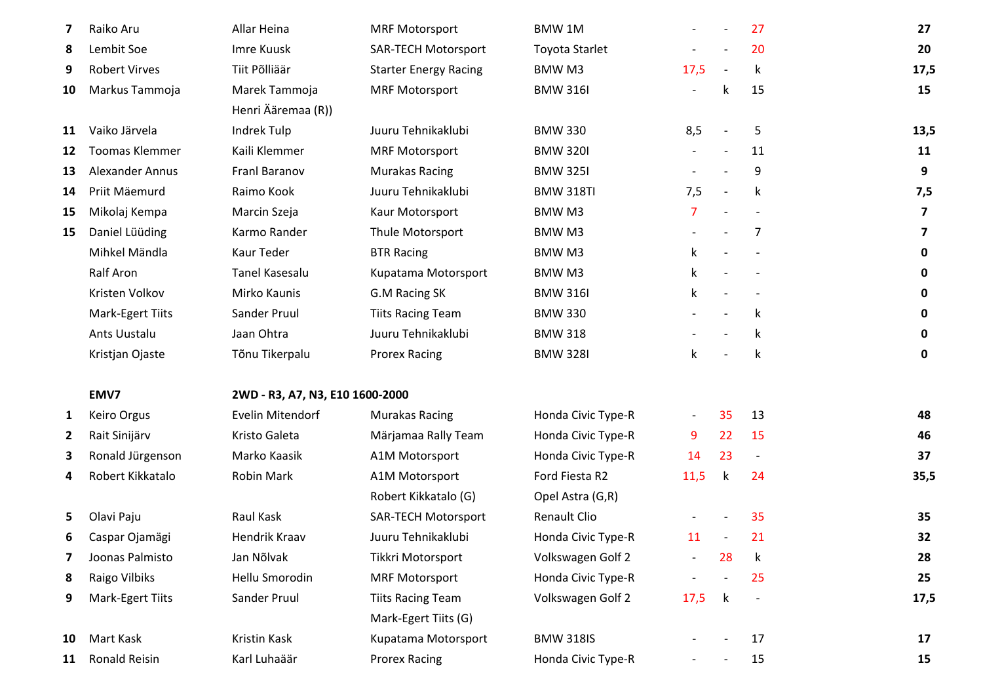| 7            | Raiko Aru              | Allar Heina                     | <b>MRF Motorsport</b>        | <b>BMW1M</b>          | $\overline{\phantom{0}}$ |                          | 27                       | 27                      |
|--------------|------------------------|---------------------------------|------------------------------|-----------------------|--------------------------|--------------------------|--------------------------|-------------------------|
| 8            | Lembit Soe             | Imre Kuusk                      | <b>SAR-TECH Motorsport</b>   | <b>Toyota Starlet</b> |                          |                          | 20                       | 20                      |
| 9            | <b>Robert Virves</b>   | Tiit Põlliäär                   | <b>Starter Energy Racing</b> | BMW M3                | 17,5                     | $\blacksquare$           | k                        | 17,5                    |
| 10           | Markus Tammoja         | Marek Tammoja                   | <b>MRF Motorsport</b>        | <b>BMW 316I</b>       |                          | k                        | 15                       | 15                      |
|              |                        | Henri Ääremaa (R))              |                              |                       |                          |                          |                          |                         |
| 11           | Vaiko Järvela          | Indrek Tulp                     | Juuru Tehnikaklubi           | <b>BMW 330</b>        | 8,5                      |                          | 5                        | 13,5                    |
| 12           | <b>Toomas Klemmer</b>  | Kaili Klemmer                   | <b>MRF Motorsport</b>        | <b>BMW 320I</b>       |                          | $\overline{\phantom{a}}$ | 11                       | 11                      |
| 13           | <b>Alexander Annus</b> | Franl Baranov                   | <b>Murakas Racing</b>        | <b>BMW 3251</b>       |                          |                          | 9                        | 9                       |
| 14           | Priit Mäemurd          | Raimo Kook                      | Juuru Tehnikaklubi           | <b>BMW 318TI</b>      | 7,5                      | $\overline{\phantom{a}}$ | k                        | 7,5                     |
| 15           | Mikolaj Kempa          | Marcin Szeja                    | Kaur Motorsport              | BMW M3                | $\overline{7}$           |                          |                          | $\overline{\mathbf{z}}$ |
| 15           | Daniel Lüüding         | Karmo Rander                    | Thule Motorsport             | <b>BMWM3</b>          |                          |                          | 7                        | 7                       |
|              | Mihkel Mändla          | <b>Kaur Teder</b>               | <b>BTR Racing</b>            | BMW M3                | k                        |                          |                          | $\mathbf 0$             |
|              | Ralf Aron              | <b>Tanel Kasesalu</b>           | Kupatama Motorsport          | BMW M3                | $\mathsf k$              |                          |                          | 0                       |
|              | Kristen Volkov         | Mirko Kaunis                    | G.M Racing SK                | <b>BMW 316I</b>       | k                        |                          |                          | $\mathbf 0$             |
|              | Mark-Egert Tiits       | Sander Pruul                    | <b>Tiits Racing Team</b>     | <b>BMW 330</b>        |                          |                          | k                        | $\mathbf 0$             |
|              | Ants Uustalu           | Jaan Ohtra                      | Juuru Tehnikaklubi           | <b>BMW 318</b>        |                          |                          | k                        | $\mathbf 0$             |
|              | Kristjan Ojaste        | Tõnu Tikerpalu                  | <b>Prorex Racing</b>         | <b>BMW 328I</b>       | k                        |                          | k                        | $\mathbf 0$             |
|              | EMV7                   | 2WD - R3, A7, N3, E10 1600-2000 |                              |                       |                          |                          |                          |                         |
| 1            | Keiro Orgus            | Evelin Mitendorf                | <b>Murakas Racing</b>        | Honda Civic Type-R    | $\overline{\phantom{0}}$ | 35                       | 13                       | 48                      |
| $\mathbf{2}$ | Rait Sinijärv          | Kristo Galeta                   | Märjamaa Rally Team          | Honda Civic Type-R    | 9                        | 22                       | 15                       | 46                      |
| з            | Ronald Jürgenson       | Marko Kaasik                    | A1M Motorsport               | Honda Civic Type-R    | 14                       | 23                       | $\overline{\phantom{a}}$ | 37                      |
| 4            | Robert Kikkatalo       | <b>Robin Mark</b>               | A1M Motorsport               | Ford Fiesta R2        | 11,5                     | k                        | 24                       | 35,5                    |
|              |                        |                                 | Robert Kikkatalo (G)         | Opel Astra (G,R)      |                          |                          |                          |                         |
| 5.           | Olavi Paju             | Raul Kask                       | <b>SAR-TECH Motorsport</b>   | <b>Renault Clio</b>   |                          |                          | 35                       | 35                      |
| 6            | Caspar Ojamägi         | Hendrik Kraav                   | Juuru Tehnikaklubi           | Honda Civic Type-R    | 11                       |                          | 21                       | 32                      |
| 7            | Joonas Palmisto        | Jan Nõlvak                      | Tikkri Motorsport            | Volkswagen Golf 2     |                          | 28                       | k                        | 28                      |
| 8            | Raigo Vilbiks          | Hellu Smorodin                  | <b>MRF Motorsport</b>        | Honda Civic Type-R    |                          |                          | 25                       | 25                      |
| 9            | Mark-Egert Tiits       | Sander Pruul                    | <b>Tiits Racing Team</b>     | Volkswagen Golf 2     | 17,5                     | $\mathsf k$              | $\overline{\phantom{a}}$ | 17,5                    |
|              |                        |                                 | Mark-Egert Tiits (G)         |                       |                          |                          |                          |                         |
| 10           | Mart Kask              | Kristin Kask                    | Kupatama Motorsport          | <b>BMW 318IS</b>      |                          |                          | 17                       | 17                      |
| 11           | Ronald Reisin          | Karl Luhaäär                    | <b>Prorex Racing</b>         | Honda Civic Type-R    |                          |                          | 15                       | 15                      |
|              |                        |                                 |                              |                       |                          |                          |                          |                         |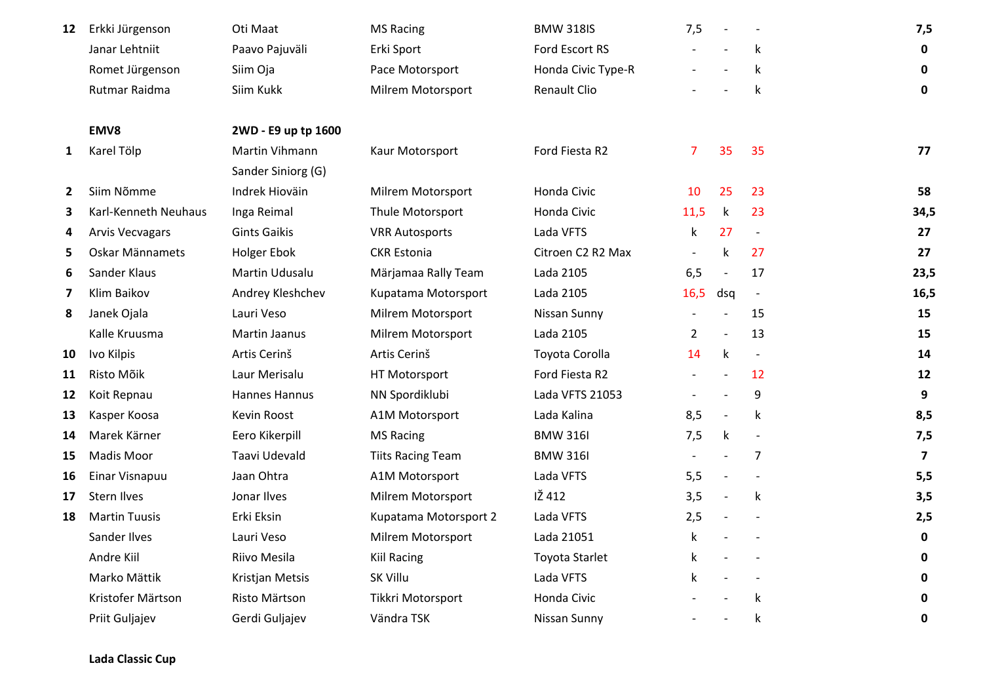| 12             | Erkki Jürgenson        | Oti Maat            | <b>MS Racing</b>         | <b>BMW 318IS</b>      | 7,5                      |                          | $\overline{\phantom{a}}$ | 7,5                     |
|----------------|------------------------|---------------------|--------------------------|-----------------------|--------------------------|--------------------------|--------------------------|-------------------------|
|                | Janar Lehtniit         | Paavo Pajuväli      | Erki Sport               | Ford Escort RS        | $\overline{\phantom{a}}$ | $\overline{a}$           | k                        | $\mathbf 0$             |
|                | Romet Jürgenson        | Siim Oja            | Pace Motorsport          | Honda Civic Type-R    |                          |                          | k                        | $\mathbf 0$             |
|                | Rutmar Raidma          | Siim Kukk           | Milrem Motorsport        | Renault Clio          |                          |                          | $\mathsf k$              | $\mathbf 0$             |
|                | EMV8                   | 2WD - E9 up tp 1600 |                          |                       |                          |                          |                          |                         |
| 1              | Karel Tölp             | Martin Vihmann      | Kaur Motorsport          | Ford Fiesta R2        | 7                        | 35                       | 35                       | 77                      |
|                |                        | Sander Siniorg (G)  |                          |                       |                          |                          |                          |                         |
| $\overline{2}$ | Siim Nõmme             | Indrek Hioväin      | Milrem Motorsport        | Honda Civic           | 10                       | 25                       | 23                       | 58                      |
| 3              | Karl-Kenneth Neuhaus   | Inga Reimal         | Thule Motorsport         | Honda Civic           | 11,5                     | k                        | 23                       | 34,5                    |
| 4              | <b>Arvis Vecvagars</b> | <b>Gints Gaikis</b> | <b>VRR Autosports</b>    | Lada VFTS             | k                        | 27                       | $\overline{\phantom{a}}$ | 27                      |
| 5              | Oskar Männamets        | <b>Holger Ebok</b>  | <b>CKR Estonia</b>       | Citroen C2 R2 Max     | $\overline{\phantom{a}}$ | $\mathsf k$              | 27                       | 27                      |
| 6              | Sander Klaus           | Martin Udusalu      | Märjamaa Rally Team      | Lada 2105             | 6,5                      | $\blacksquare$           | 17                       | 23,5                    |
| 7              | Klim Baikov            | Andrey Kleshchev    | Kupatama Motorsport      | Lada 2105             | 16,5                     | dsq                      | $\overline{\phantom{a}}$ | 16,5                    |
| 8              | Janek Ojala            | Lauri Veso          | Milrem Motorsport        | Nissan Sunny          |                          |                          | 15                       | 15                      |
|                | Kalle Kruusma          | Martin Jaanus       | Milrem Motorsport        | Lada 2105             | $\overline{2}$           | $\overline{\phantom{a}}$ | 13                       | 15                      |
| 10             | Ivo Kilpis             | Artis Cerinš        | Artis Cerinš             | Toyota Corolla        | 14                       | k                        | $\overline{\phantom{a}}$ | 14                      |
| 11             | Risto Mõik             | Laur Merisalu       | HT Motorsport            | Ford Fiesta R2        | $\overline{\phantom{a}}$ | $\overline{a}$           | 12                       | 12                      |
| 12             | Koit Repnau            | Hannes Hannus       | NN Spordiklubi           | Lada VFTS 21053       |                          |                          | 9                        | 9                       |
| 13             | Kasper Koosa           | Kevin Roost         | A1M Motorsport           | Lada Kalina           | 8,5                      | $\blacksquare$           | k                        | 8,5                     |
| 14             | Marek Kärner           | Eero Kikerpill      | <b>MS Racing</b>         | <b>BMW 316I</b>       | 7,5                      | $\mathsf k$              |                          | 7,5                     |
| 15             | Madis Moor             | Taavi Udevald       | <b>Tiits Racing Team</b> | <b>BMW 316I</b>       | $\overline{\phantom{a}}$ |                          | $\overline{7}$           | $\overline{\mathbf{z}}$ |
| 16             | Einar Visnapuu         | Jaan Ohtra          | A1M Motorsport           | Lada VFTS             | 5,5                      | $\overline{a}$           |                          | 5,5                     |
| 17             | <b>Stern Ilves</b>     | Jonar Ilves         | Milrem Motorsport        | IŽ 412                | 3,5                      | $\overline{a}$           | $\mathsf k$              | 3,5                     |
| 18             | <b>Martin Tuusis</b>   | Erki Eksin          | Kupatama Motorsport 2    | Lada VFTS             | 2,5                      |                          |                          | 2,5                     |
|                | Sander Ilves           | Lauri Veso          | Milrem Motorsport        | Lada 21051            | k                        |                          |                          | $\pmb{0}$               |
|                | Andre Kiil             | Riivo Mesila        | <b>Kiil Racing</b>       | <b>Toyota Starlet</b> | k                        |                          |                          | $\mathbf 0$             |
|                | Marko Mättik           | Kristjan Metsis     | <b>SK Villu</b>          | Lada VFTS             | k                        |                          |                          | $\pmb{0}$               |
|                | Kristofer Märtson      | Risto Märtson       | Tikkri Motorsport        | Honda Civic           |                          |                          | k                        | $\mathbf 0$             |
|                | Priit Guljajev         | Gerdi Guljajev      | Vändra TSK               | Nissan Sunny          |                          |                          | k                        | $\pmb{0}$               |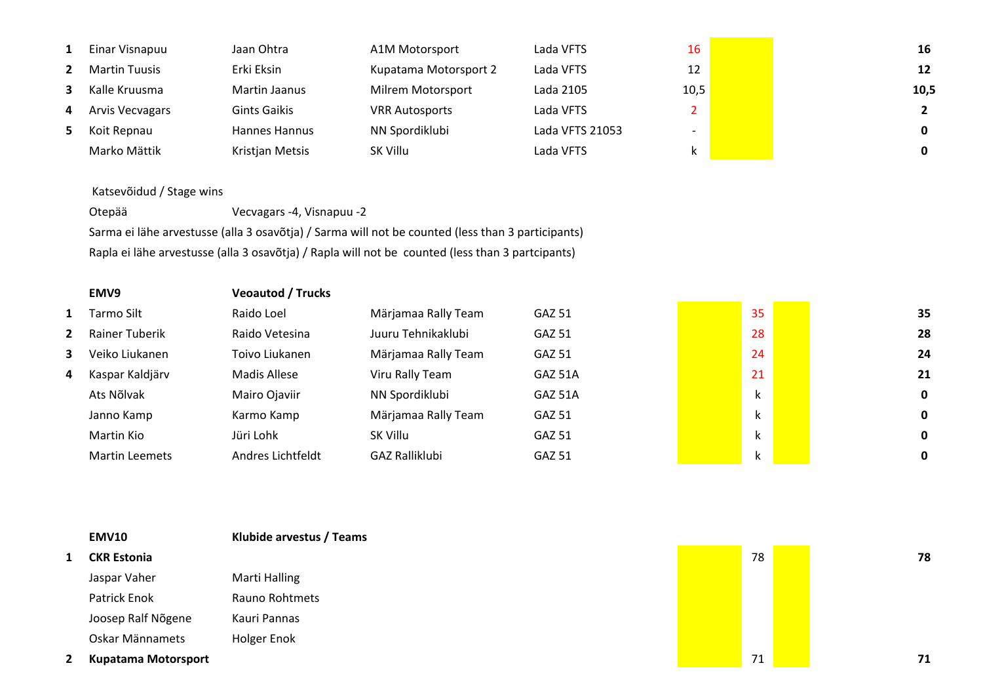| 1  | Einar Visnapuu       | Jaan Ohtra          | A1M Motorsport        | Lada VFTS       | 16                       | 16           |
|----|----------------------|---------------------|-----------------------|-----------------|--------------------------|--------------|
|    | <b>Martin Tuusis</b> | Erki Eksin          | Kupatama Motorsport 2 | Lada VFTS       | 12                       | 12           |
| 3  | Kalle Kruusma        | Martin Jaanus       | Milrem Motorsport     | Lada 2105       | 10,5                     | 10,5         |
| 4  | Arvis Vecvagars      | <b>Gints Gaikis</b> | <b>VRR Autosports</b> | Lada VFTS       |                          | $2^{\circ}$  |
| 5. | Koit Repnau          | Hannes Hannus       | NN Spordiklubi        | Lada VFTS 21053 | $\overline{\phantom{a}}$ | $\mathbf{0}$ |
|    | Marko Mättik         | Kristjan Metsis     | SK Villu              | Lada VFTS       | k.                       | 0            |

## Katsevõidud / Stage wins

Otepää Vecvagars -4, Visnapuu -2 Sarma ei lähe arvestusse (alla 3 osavõtja) / Sarma will not be counted (less than 3 participants)Rapla ei lähe arvestusse (alla 3 osavõtja) / Rapla will not be counted (less than 3 partcipants)

|             | EMV9                  | <b>Veoautod / Trucks</b> |                       |               |              |    |
|-------------|-----------------------|--------------------------|-----------------------|---------------|--------------|----|
| 1           | Tarmo Silt            | Raido Loel               | Märjamaa Rally Team   | <b>GAZ 51</b> | 35           | 35 |
| $2^{\circ}$ | Rainer Tuberik        | Raido Vetesina           | Juuru Tehnikaklubi    | <b>GAZ 51</b> | 28           | 28 |
| 3           | Veiko Liukanen        | Toivo Liukanen           | Märjamaa Rally Team   | GAZ 51        | 24           | 24 |
| 4           | Kaspar Kaldjärv       | Madis Allese             | Viru Rally Team       | GAZ 51A       | 21           | 21 |
|             | Ats Nõlvak            | Mairo Ojaviir            | NN Spordiklubi        | GAZ 51A       | k            | 0  |
|             | Janno Kamp            | Karmo Kamp               | Märjamaa Rally Team   | <b>GAZ 51</b> |              | 0  |
|             | Martin Kio            | Jüri Lohk                | SK Villu              | GAZ 51        | $\mathbf{z}$ | 0  |
|             | <b>Martin Leemets</b> | Andres Lichtfeldt        | <b>GAZ Ralliklubi</b> | <b>GAZ 51</b> |              | 0  |

| <b>EMV10</b>               | Klubide arvestus / Teams |    |  |    |
|----------------------------|--------------------------|----|--|----|
| <b>CKR Estonia</b>         |                          | 78 |  | 78 |
| Jaspar Vaher               | Marti Halling            |    |  |    |
| Patrick Enok               | Rauno Rohtmets           |    |  |    |
| Joosep Ralf Nõgene         | Kauri Pannas             |    |  |    |
| Oskar Männamets            | Holger Enok              |    |  |    |
| <b>Kupatama Motorsport</b> |                          | 71 |  | 71 |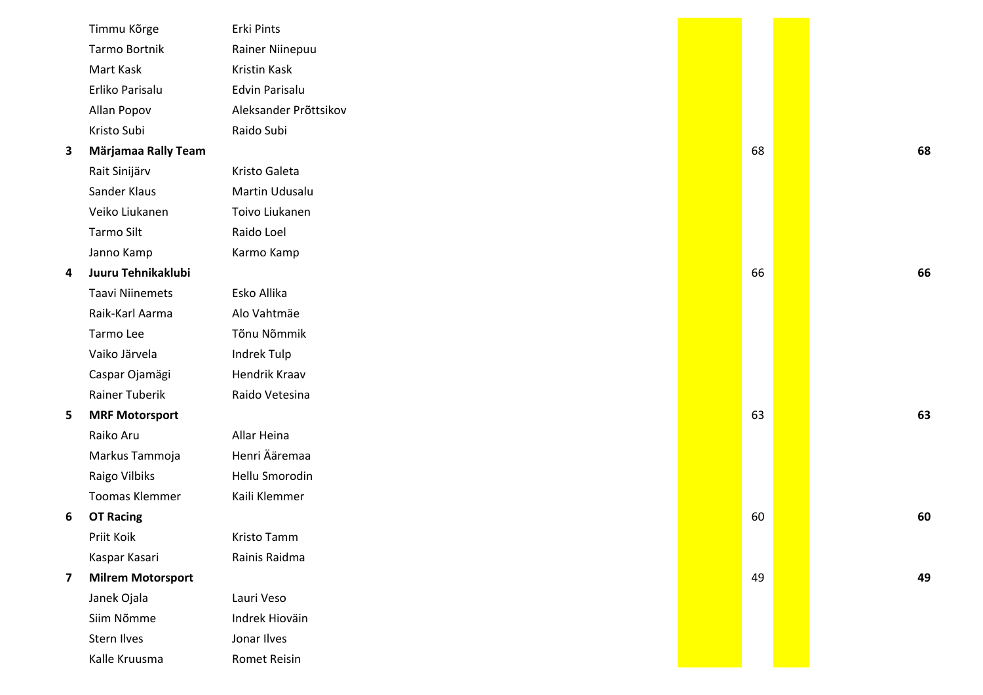| Timmu Kõrge              | Erki Pints            |    |    |
|--------------------------|-----------------------|----|----|
| Tarmo Bortnik            | Rainer Niinepuu       |    |    |
| Mart Kask                | Kristin Kask          |    |    |
| Erliko Parisalu          | Edvin Parisalu        |    |    |
| Allan Popov              | Aleksander Prõttsikov |    |    |
| Kristo Subi              | Raido Subi            |    |    |
| Märjamaa Rally Team      |                       | 68 | 68 |
| Rait Sinijärv            | Kristo Galeta         |    |    |
| Sander Klaus             | Martin Udusalu        |    |    |
| Veiko Liukanen           | Toivo Liukanen        |    |    |
| Tarmo Silt               | Raido Loel            |    |    |
| Janno Kamp               | Karmo Kamp            |    |    |
| Juuru Tehnikaklubi       |                       | 66 | 66 |
| <b>Taavi Niinemets</b>   | Esko Allika           |    |    |
| Raik-Karl Aarma          | Alo Vahtmäe           |    |    |
| Tarmo Lee                | Tõnu Nõmmik           |    |    |
| Vaiko Järvela            | Indrek Tulp           |    |    |
| Caspar Ojamägi           | Hendrik Kraav         |    |    |
| <b>Rainer Tuberik</b>    | Raido Vetesina        |    |    |
| <b>MRF Motorsport</b>    |                       | 63 | 63 |
| Raiko Aru                | Allar Heina           |    |    |
| Markus Tammoja           | Henri Ääremaa         |    |    |
| Raigo Vilbiks            | Hellu Smorodin        |    |    |
| <b>Toomas Klemmer</b>    | Kaili Klemmer         |    |    |
| <b>OT Racing</b>         |                       | 60 | 60 |
| Priit Koik               | Kristo Tamm           |    |    |
| Kaspar Kasari            | Rainis Raidma         |    |    |
| <b>Milrem Motorsport</b> |                       | 49 | 49 |
| Janek Ojala              | Lauri Veso            |    |    |
| Siim Nõmme               | Indrek Hioväin        |    |    |
| Stern Ilves              | Jonar Ilves           |    |    |
| Kalle Kruusma            | <b>Romet Reisin</b>   |    |    |
|                          |                       |    |    |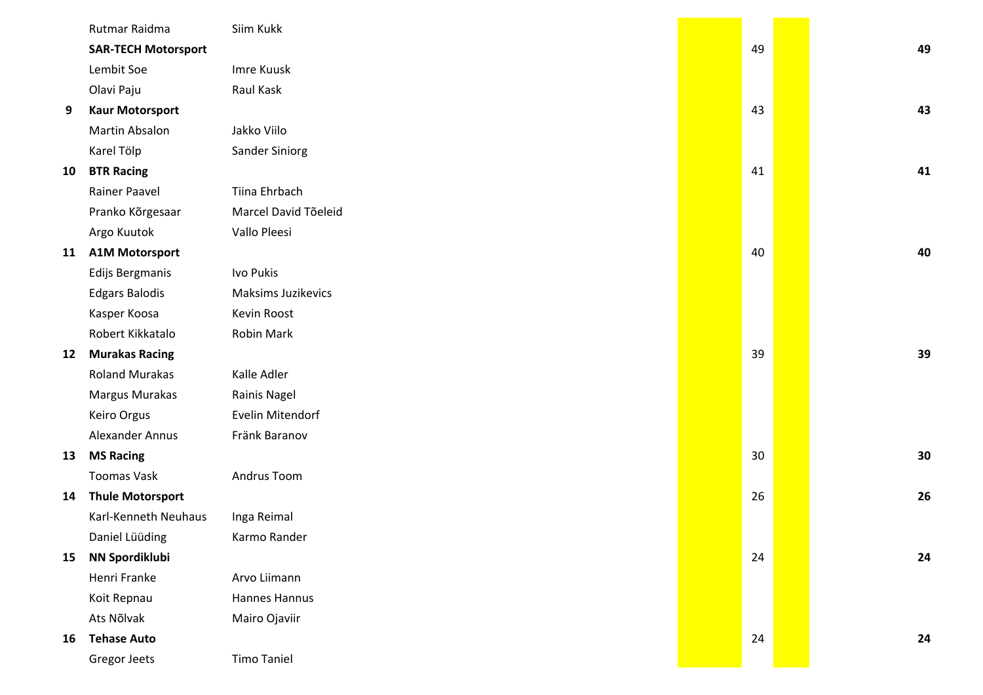|    | Rutmar Raidma              | Siim Kukk            |    |    |
|----|----------------------------|----------------------|----|----|
|    | <b>SAR-TECH Motorsport</b> |                      | 49 | 49 |
|    | Lembit Soe                 | Imre Kuusk           |    |    |
|    | Olavi Paju                 | Raul Kask            |    |    |
| 9  | <b>Kaur Motorsport</b>     |                      | 43 | 43 |
|    | Martin Absalon             | Jakko Viilo          |    |    |
|    | Karel Tölp                 | Sander Siniorg       |    |    |
| 10 | <b>BTR Racing</b>          |                      | 41 | 41 |
|    | Rainer Paavel              | Tiina Ehrbach        |    |    |
|    | Pranko Kõrgesaar           | Marcel David Tõeleid |    |    |
|    | Argo Kuutok                | Vallo Pleesi         |    |    |
| 11 | <b>A1M Motorsport</b>      |                      | 40 | 40 |
|    | Edijs Bergmanis            | Ivo Pukis            |    |    |
|    | <b>Edgars Balodis</b>      | Maksims Juzikevics   |    |    |
|    | Kasper Koosa               | Kevin Roost          |    |    |
|    | Robert Kikkatalo           | Robin Mark           |    |    |
| 12 | <b>Murakas Racing</b>      |                      | 39 | 39 |
|    | <b>Roland Murakas</b>      | Kalle Adler          |    |    |
|    | Margus Murakas             | Rainis Nagel         |    |    |
|    | Keiro Orgus                | Evelin Mitendorf     |    |    |
|    | Alexander Annus            | Fränk Baranov        |    |    |
| 13 | <b>MS Racing</b>           |                      | 30 | 30 |
|    | <b>Toomas Vask</b>         | Andrus Toom          |    |    |
| 14 | <b>Thule Motorsport</b>    |                      | 26 | 26 |
|    | Karl-Kenneth Neuhaus       | Inga Reimal          |    |    |
|    | Daniel Lüüding             | Karmo Rander         |    |    |
| 15 | <b>NN Spordiklubi</b>      |                      | 24 | 24 |
|    | Henri Franke               | Arvo Liimann         |    |    |
|    | Koit Repnau                | Hannes Hannus        |    |    |
|    | Ats Nõlvak                 | Mairo Ojaviir        |    |    |
| 16 | <b>Tehase Auto</b>         |                      | 24 | 24 |
|    | Gregor Jeets               | <b>Timo Taniel</b>   |    |    |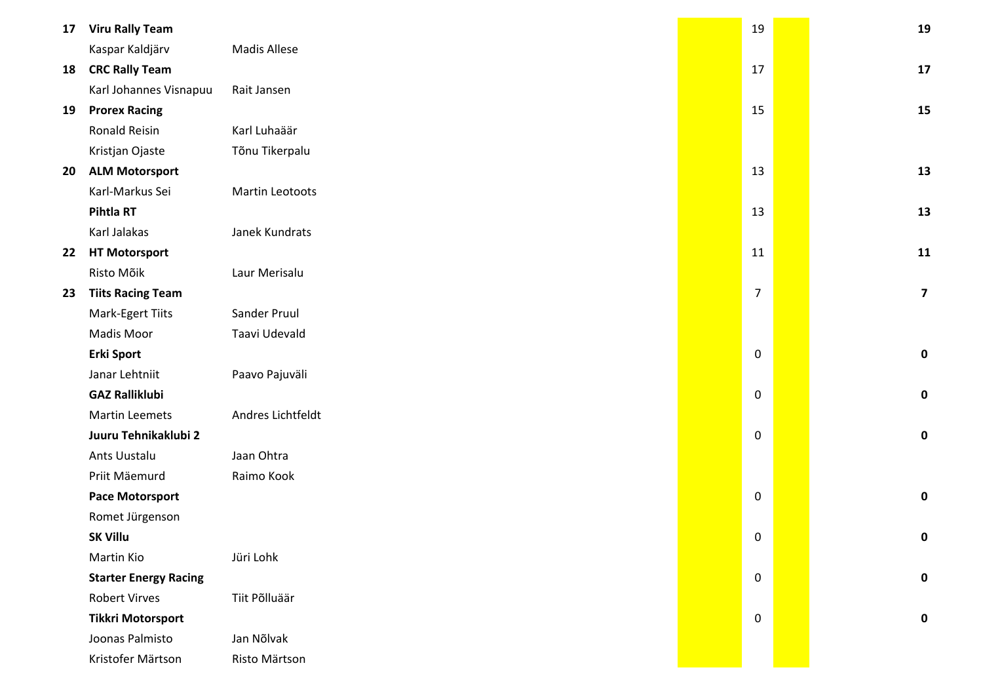| 17 | <b>Viru Rally Team</b>       |                     | 19             | 19                      |
|----|------------------------------|---------------------|----------------|-------------------------|
|    | Kaspar Kaldjärv              | <b>Madis Allese</b> |                |                         |
| 18 | <b>CRC Rally Team</b>        |                     | 17             | 17                      |
|    | Karl Johannes Visnapuu       | Rait Jansen         |                |                         |
| 19 | <b>Prorex Racing</b>         |                     | 15             | 15                      |
|    | <b>Ronald Reisin</b>         | Karl Luhaäär        |                |                         |
|    | Kristjan Ojaste              | Tõnu Tikerpalu      |                |                         |
| 20 | <b>ALM Motorsport</b>        |                     | 13             | 13                      |
|    | Karl-Markus Sei              | Martin Leotoots     |                |                         |
|    | Pihtla RT                    |                     | 13             | 13                      |
|    | Karl Jalakas                 | Janek Kundrats      |                |                         |
| 22 | <b>HT Motorsport</b>         |                     | 11             | 11                      |
|    | Risto Mõik                   | Laur Merisalu       |                |                         |
| 23 | <b>Tiits Racing Team</b>     |                     | $\overline{7}$ | $\overline{\mathbf{z}}$ |
|    | Mark-Egert Tiits             | Sander Pruul        |                |                         |
|    | Madis Moor                   | Taavi Udevald       |                |                         |
|    | <b>Erki Sport</b>            |                     | $\pmb{0}$      | $\mathbf 0$             |
|    | Janar Lehtniit               | Paavo Pajuväli      |                |                         |
|    | <b>GAZ Ralliklubi</b>        |                     | $\mathbf 0$    | $\mathbf 0$             |
|    | <b>Martin Leemets</b>        | Andres Lichtfeldt   |                |                         |
|    | Juuru Tehnikaklubi 2         |                     | $\pmb{0}$      | $\mathbf 0$             |
|    | Ants Uustalu                 | Jaan Ohtra          |                |                         |
|    | Priit Mäemurd                | Raimo Kook          |                |                         |
|    | <b>Pace Motorsport</b>       |                     | $\mathbf 0$    | $\mathbf 0$             |
|    | Romet Jürgenson              |                     |                |                         |
|    | <b>SK Villu</b>              |                     | $\Omega$       | 0                       |
|    | Martin Kio                   | Jüri Lohk           |                |                         |
|    | <b>Starter Energy Racing</b> |                     | $\mathbf 0$    | $\mathbf 0$             |
|    | <b>Robert Virves</b>         | Tiit Põlluäär       |                |                         |
|    | <b>Tikkri Motorsport</b>     |                     | $\mathbf 0$    | $\mathbf 0$             |
|    | Joonas Palmisto              | Jan Nõlvak          |                |                         |
|    | Kristofer Märtson            | Risto Märtson       |                |                         |